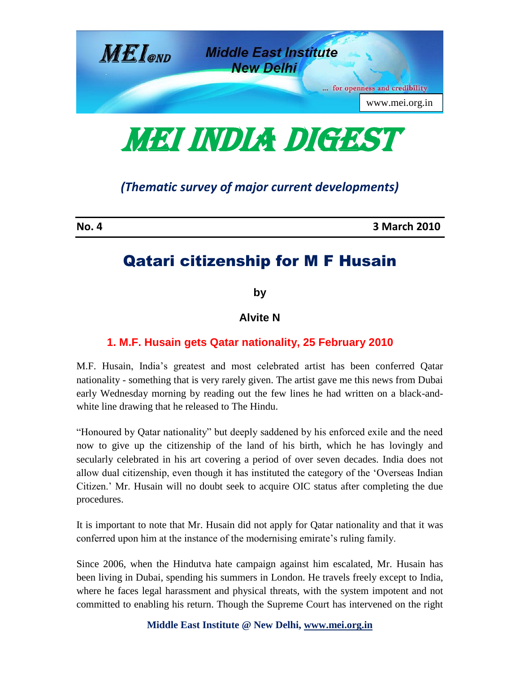

**MEI INDIA DIGEST** 

*(Thematic survey of major current developments)*

**No. 4 3 March 2010**

# Qatari citizenship for M F Husain

**by**

**Alvite N**

# **1. M.F. Husain gets Qatar nationality, 25 February 2010**

M.F. Husain, India's greatest and most celebrated artist has been conferred Qatar nationality - something that is very rarely given. The artist gave me this news from Dubai early Wednesday morning by reading out the few lines he had written on a black-andwhite line drawing that he released to The Hindu.

"Honoured by Qatar nationality" but deeply saddened by his enforced exile and the need now to give up the citizenship of the land of his birth, which he has lovingly and secularly celebrated in his art covering a period of over seven decades. India does not allow dual citizenship, even though it has instituted the category of the 'Overseas Indian Citizen.' Mr. Husain will no doubt seek to acquire OIC status after completing the due procedures.

It is important to note that Mr. Husain did not apply for Qatar nationality and that it was conferred upon him at the instance of the modernising emirate's ruling family.

Since 2006, when the Hindutva hate campaign against him escalated, Mr. Husain has been living in Dubai, spending his summers in London. He travels freely except to India, where he faces legal harassment and physical threats, with the system impotent and not committed to enabling his return. Though the Supreme Court has intervened on the right

**Middle East Institute @ New Delhi, www.mei.org.in**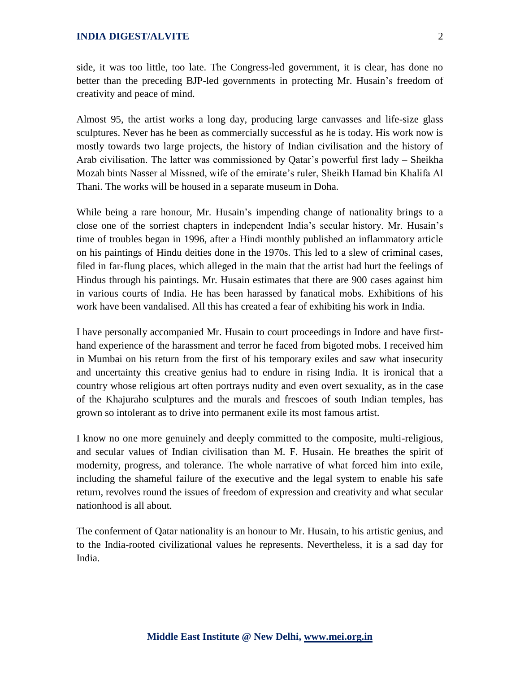side, it was too little, too late. The Congress-led government, it is clear, has done no better than the preceding BJP-led governments in protecting Mr. Husain's freedom of creativity and peace of mind.

Almost 95, the artist works a long day, producing large canvasses and life-size glass sculptures. Never has he been as commercially successful as he is today. His work now is mostly towards two large projects, the history of Indian civilisation and the history of Arab civilisation. The latter was commissioned by Qatar's powerful first lady – Sheikha Mozah bints Nasser al Missned, wife of the emirate's ruler, Sheikh Hamad bin Khalifa Al Thani. The works will be housed in a separate museum in Doha.

While being a rare honour, Mr. Husain's impending change of nationality brings to a close one of the sorriest chapters in independent India's secular history. Mr. Husain's time of troubles began in 1996, after a Hindi monthly published an inflammatory article on his paintings of Hindu deities done in the 1970s. This led to a slew of criminal cases, filed in far-flung places, which alleged in the main that the artist had hurt the feelings of Hindus through his paintings. Mr. Husain estimates that there are 900 cases against him in various courts of India. He has been harassed by fanatical mobs. Exhibitions of his work have been vandalised. All this has created a fear of exhibiting his work in India.

I have personally accompanied Mr. Husain to court proceedings in Indore and have firsthand experience of the harassment and terror he faced from bigoted mobs. I received him in Mumbai on his return from the first of his temporary exiles and saw what insecurity and uncertainty this creative genius had to endure in rising India. It is ironical that a country whose religious art often portrays nudity and even overt sexuality, as in the case of the Khajuraho sculptures and the murals and frescoes of south Indian temples, has grown so intolerant as to drive into permanent exile its most famous artist.

I know no one more genuinely and deeply committed to the composite, multi-religious, and secular values of Indian civilisation than M. F. Husain. He breathes the spirit of modernity, progress, and tolerance. The whole narrative of what forced him into exile, including the shameful failure of the executive and the legal system to enable his safe return, revolves round the issues of freedom of expression and creativity and what secular nationhood is all about.

The conferment of Qatar nationality is an honour to Mr. Husain, to his artistic genius, and to the India-rooted civilizational values he represents. Nevertheless, it is a sad day for India.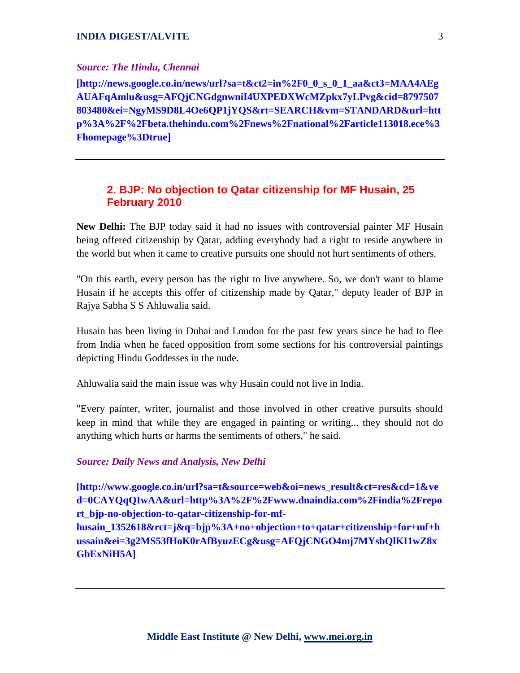#### *Source: The Hindu, Chennai*

**[http://news.google.co.in/news/url?sa=t&ct2=in%2F0\_0\_s\_0\_1\_aa&ct3=MAA4AEg AUAFqAmlu&usg=AFQjCNGdgnwniI4UXPEDXWcMZpkx7yLPvg&cid=8797507 803480&ei=NgyMS9D8L4Oe6QP1jYQS&rt=SEARCH&vm=STANDARD&url=htt p%3A%2F%2Fbeta.thehindu.com%2Fnews%2Fnational%2Farticle113018.ece%3 Fhomepage%3Dtrue]**

# **2. BJP: No objection to Qatar citizenship for MF Husain, 25 February 2010**

**New Delhi:** The BJP today said it had no issues with controversial painter MF Husain being offered citizenship by Qatar, adding everybody had a right to reside anywhere in the world but when it came to creative pursuits one should not hurt sentiments of others.

"On this earth, every person has the right to live anywhere. So, we don't want to blame Husain if he accepts this offer of citizenship made by Qatar," deputy leader of BJP in Rajya Sabha S S Ahluwalia said.

Husain has been living in Dubai and London for the past few years since he had to flee from India when he faced opposition from some sections for his controversial paintings depicting Hindu Goddesses in the nude.

Ahluwalia said the main issue was why Husain could not live in India.

"Every painter, writer, journalist and those involved in other creative pursuits should keep in mind that while they are engaged in painting or writing... they should not do anything which hurts or harms the sentiments of others," he said.

*Source: Daily News and Analysis, New Delhi*

**[http://www.google.co.in/url?sa=t&source=web&oi=news\_result&ct=res&cd=1&ve d=0CAYQqQIwAA&url=http%3A%2F%2Fwww.dnaindia.com%2Findia%2Frepo rt\_bjp-no-objection-to-qatar-citizenship-for-mf-**

**husain\_1352618&rct=j&q=bjp%3A+no+objection+to+qatar+citizenship+for+mf+h ussain&ei=3g2MS53fHoK0rAfByuzECg&usg=AFQjCNGO4mj7MYsbQlKI1wZ8x GbExNiH5A]**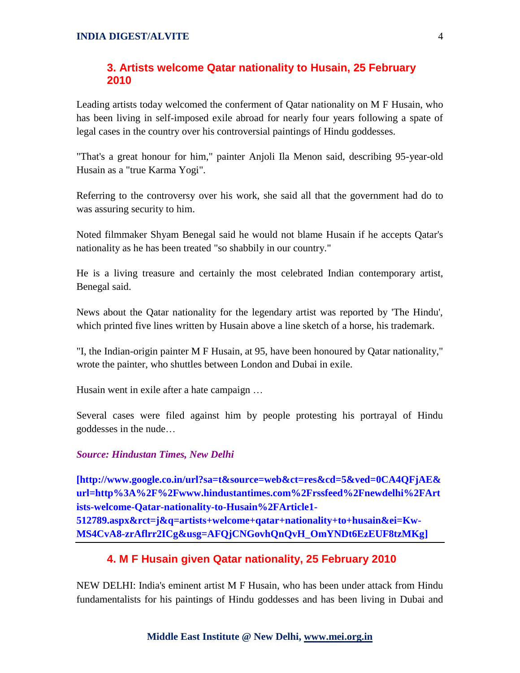# **3. Artists welcome Qatar nationality to Husain, 25 February 2010**

Leading artists today welcomed the conferment of Qatar nationality on M F Husain, who has been living in self-imposed exile abroad for nearly four years following a spate of legal cases in the country over his controversial paintings of Hindu goddesses.

"That's a great honour for him," painter Anjoli Ila Menon said, describing 95-year-old Husain as a "true Karma Yogi".

Referring to the controversy over his work, she said all that the government had do to was assuring security to him.

Noted filmmaker Shyam Benegal said he would not blame Husain if he accepts Qatar's nationality as he has been treated "so shabbily in our country."

He is a living treasure and certainly the most celebrated Indian contemporary artist, Benegal said.

News about the Qatar nationality for the legendary artist was reported by 'The Hindu', which printed five lines written by Husain above a line sketch of a horse, his trademark.

"I, the Indian-origin painter M F Husain, at 95, have been honoured by Qatar nationality," wrote the painter, who shuttles between London and Dubai in exile.

Husain went in exile after a hate campaign …

Several cases were filed against him by people protesting his portrayal of Hindu goddesses in the nude…

# *Source: Hindustan Times, New Delhi*

**[http://www.google.co.in/url?sa=t&source=web&ct=res&cd=5&ved=0CA4QFjAE& url=http%3A%2F%2Fwww.hindustantimes.com%2Frssfeed%2Fnewdelhi%2FArt ists-welcome-Qatar-nationality-to-Husain%2FArticle1- 512789.aspx&rct=j&q=artists+welcome+qatar+nationality+to+husain&ei=Kw-MS4CvA8-zrAflrr2ICg&usg=AFQjCNGovhQnQvH\_OmYNDt6EzEUF8tzMKg]**

# **4. M F Husain given Qatar nationality, 25 February 2010**

NEW DELHI: India's eminent artist M F Husain, who has been under attack from Hindu fundamentalists for his paintings of Hindu goddesses and has been living in Dubai and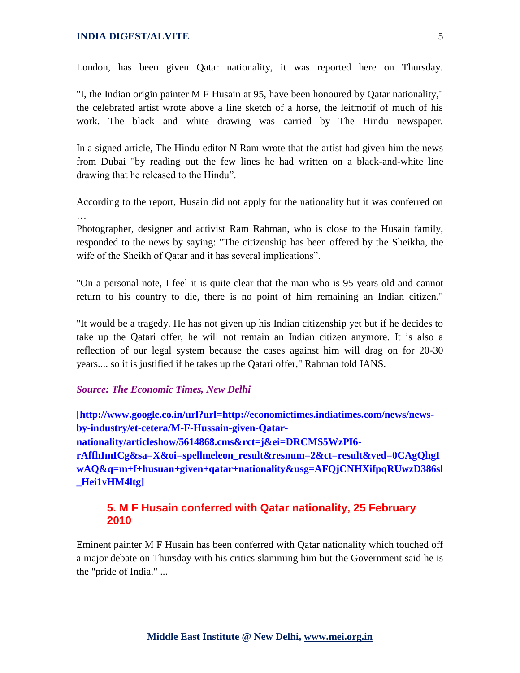London, has been given Qatar nationality, it was reported here on Thursday.

"I, the Indian origin painter M F Husain at 95, have been honoured by Qatar nationality," the celebrated artist wrote above a line sketch of a horse, the leitmotif of much of his work. The black and white drawing was carried by The Hindu newspaper.

In a signed article, The Hindu editor N Ram wrote that the artist had given him the news from Dubai "by reading out the few lines he had written on a black-and-white line drawing that he released to the Hindu".

According to the report, Husain did not apply for the nationality but it was conferred on

Photographer, designer and activist Ram Rahman, who is close to the Husain family, responded to the news by saying: "The citizenship has been offered by the Sheikha, the wife of the Sheikh of Qatar and it has several implications".

"On a personal note, I feel it is quite clear that the man who is 95 years old and cannot return to his country to die, there is no point of him remaining an Indian citizen."

"It would be a tragedy. He has not given up his Indian citizenship yet but if he decides to take up the Qatari offer, he will not remain an Indian citizen anymore. It is also a reflection of our legal system because the cases against him will drag on for 20-30 years.... so it is justified if he takes up the Qatari offer," Rahman told IANS.

#### *Source: The Economic Times, New Delhi*

**[http://www.google.co.in/url?url=http://economictimes.indiatimes.com/news/newsby-industry/et-cetera/M-F-Hussain-given-Qatarnationality/articleshow/5614868.cms&rct=j&ei=DRCMS5WzPI6 rAffhImICg&sa=X&oi=spellmeleon\_result&resnum=2&ct=result&ved=0CAgQhgI wAQ&q=m+f+husuan+given+qatar+nationality&usg=AFQjCNHXifpqRUwzD386sl \_Hei1vHM4ltg]**

### **5. M F Husain conferred with Qatar nationality, 25 February 2010**

Eminent painter M F Husain has been conferred with Qatar nationality which touched off a major debate on Thursday with his critics slamming him but the Government said he is the "pride of India." ...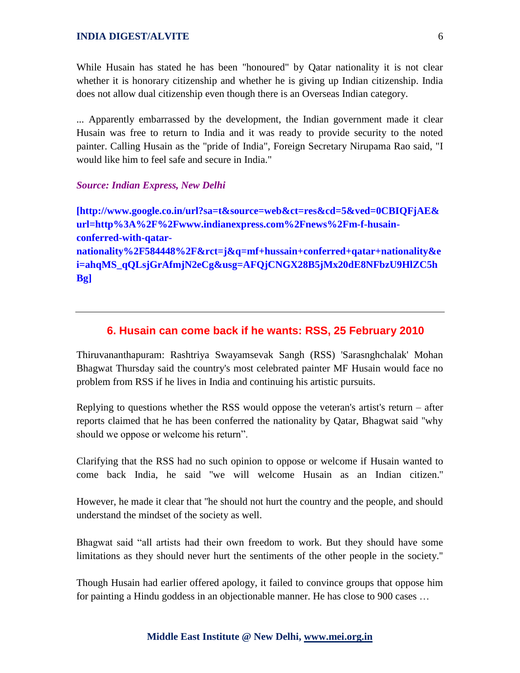While Husain has stated he has been "honoured" by Qatar nationality it is not clear whether it is honorary citizenship and whether he is giving up Indian citizenship. India does not allow dual citizenship even though there is an Overseas Indian category.

... Apparently embarrassed by the development, the Indian government made it clear Husain was free to return to India and it was ready to provide security to the noted painter. Calling Husain as the "pride of India", Foreign Secretary Nirupama Rao said, "I would like him to feel safe and secure in India."

#### *Source: Indian Express, New Delhi*

**[http://www.google.co.in/url?sa=t&source=web&ct=res&cd=5&ved=0CBIQFjAE& url=http%3A%2F%2Fwww.indianexpress.com%2Fnews%2Fm-f-husainconferred-with-qatarnationality%2F584448%2F&rct=j&q=mf+hussain+conferred+qatar+nationality&e i=ahqMS\_qQLsjGrAfmjN2eCg&usg=AFQjCNGX28B5jMx20dE8NFbzU9HlZC5h Bg]**

#### **6. Husain can come back if he wants: RSS, 25 February 2010**

Thiruvananthapuram: Rashtriya Swayamsevak Sangh (RSS) 'Sarasnghchalak' Mohan Bhagwat Thursday said the country's most celebrated painter MF Husain would face no problem from RSS if he lives in India and continuing his artistic pursuits.

Replying to questions whether the RSS would oppose the veteran's artist's return – after reports claimed that he has been conferred the nationality by Qatar, Bhagwat said ''why should we oppose or welcome his return".

Clarifying that the RSS had no such opinion to oppose or welcome if Husain wanted to come back India, he said ''we will welcome Husain as an Indian citizen.''

However, he made it clear that ''he should not hurt the country and the people, and should understand the mindset of the society as well.

Bhagwat said "all artists had their own freedom to work. But they should have some limitations as they should never hurt the sentiments of the other people in the society.''

Though Husain had earlier offered apology, it failed to convince groups that oppose him for painting a Hindu goddess in an objectionable manner. He has close to 900 cases …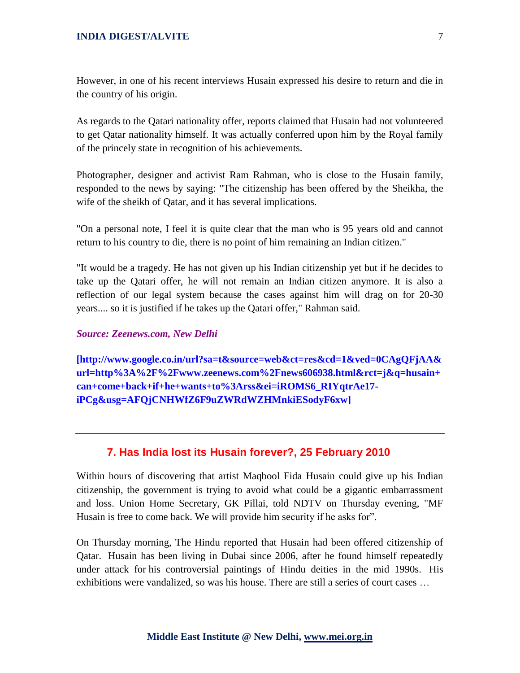However, in one of his recent interviews Husain expressed his desire to return and die in the country of his origin.

As regards to the Qatari nationality offer, reports claimed that Husain had not volunteered to get Qatar nationality himself. It was actually conferred upon him by the Royal family of the princely state in recognition of his achievements.

Photographer, designer and activist Ram Rahman, who is close to the Husain family, responded to the news by saying: "The citizenship has been offered by the Sheikha, the wife of the sheikh of Qatar, and it has several implications.

"On a personal note, I feel it is quite clear that the man who is 95 years old and cannot return to his country to die, there is no point of him remaining an Indian citizen."

"It would be a tragedy. He has not given up his Indian citizenship yet but if he decides to take up the Qatari offer, he will not remain an Indian citizen anymore. It is also a reflection of our legal system because the cases against him will drag on for 20-30 years.... so it is justified if he takes up the Qatari offer," Rahman said.

#### *Source: Zeenews.com, New Delhi*

**[http://www.google.co.in/url?sa=t&source=web&ct=res&cd=1&ved=0CAgQFjAA& url=http%3A%2F%2Fwww.zeenews.com%2Fnews606938.html&rct=j&q=husain+ can+come+back+if+he+wants+to%3Arss&ei=iROMS6\_RIYqtrAe17 iPCg&usg=AFQjCNHWfZ6F9uZWRdWZHMnkiESodyF6xw]**

### **7. Has India lost its Husain forever?, 25 February 2010**

Within hours of discovering that artist Maqbool Fida Husain could give up his Indian citizenship, the government is trying to avoid what could be a gigantic embarrassment and loss. Union Home Secretary, GK Pillai, told NDTV on Thursday evening, "MF Husain is free to come back. We will provide him security if he asks for".

On Thursday morning, The Hindu reported that Husain had been offered citizenship of Qatar. Husain has been living in Dubai since 2006, after he found himself repeatedly under attack for his controversial paintings of Hindu deities in the mid 1990s. His exhibitions were vandalized, so was his house. There are still a series of court cases …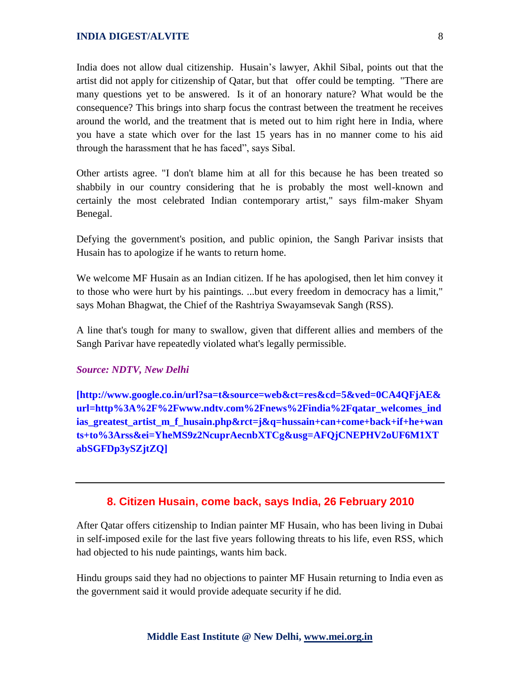India does not allow dual citizenship. Husain's lawyer, Akhil Sibal, points out that the artist did not apply for citizenship of Qatar, but that offer could be tempting. "There are many questions yet to be answered. Is it of an honorary nature? What would be the consequence? This brings into sharp focus the contrast between the treatment he receives around the world, and the treatment that is meted out to him right here in India, where you have a state which over for the last 15 years has in no manner come to his aid through the harassment that he has faced", says Sibal.

Other artists agree. "I don't blame him at all for this because he has been treated so shabbily in our country considering that he is probably the most well-known and certainly the most celebrated Indian contemporary artist," says film-maker Shyam Benegal.

Defying the government's position, and public opinion, the Sangh Parivar insists that Husain has to apologize if he wants to return home.

We welcome MF Husain as an Indian citizen. If he has apologised, then let him convey it to those who were hurt by his paintings. ...but every freedom in democracy has a limit," says Mohan Bhagwat, the Chief of the Rashtriya Swayamsevak Sangh (RSS).

A line that's tough for many to swallow, given that different allies and members of the Sangh Parivar have repeatedly violated what's legally permissible.

#### *Source: NDTV, New Delhi*

**[http://www.google.co.in/url?sa=t&source=web&ct=res&cd=5&ved=0CA4QFjAE& url=http%3A%2F%2Fwww.ndtv.com%2Fnews%2Findia%2Fqatar\_welcomes\_ind ias greatest artist m f husain.php&rct=j&q=hussain+can+come+back+if+he+wan ts+to%3Arss&ei=YheMS9z2NcuprAecnbXTCg&usg=AFQjCNEPHV2oUF6M1XT abSGFDp3ySZjtZQ]**

#### **8. Citizen Husain, come back, says India, 26 February 2010**

After Qatar offers citizenship to Indian painter MF Husain, who has been living in Dubai in self-imposed exile for the last five years following threats to his life, even RSS, which had objected to his nude paintings, wants him back.

Hindu groups said they had no objections to painter MF Husain returning to India even as the government said it would provide adequate security if he did.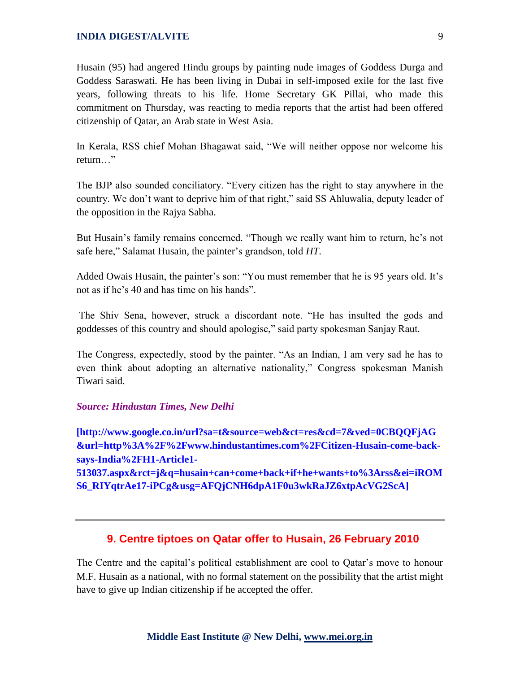Husain (95) had angered Hindu groups by painting nude images of Goddess Durga and Goddess Saraswati. He has been living in Dubai in self-imposed exile for the last five years, following threats to his life. Home Secretary GK Pillai, who made this commitment on Thursday, was reacting to media reports that the artist had been offered citizenship of Qatar, an Arab state in West Asia.

In Kerala, RSS chief Mohan Bhagawat said, "We will neither oppose nor welcome his return "

The BJP also sounded conciliatory. "Every citizen has the right to stay anywhere in the country. We don't want to deprive him of that right," said SS Ahluwalia, deputy leader of the opposition in the Rajya Sabha.

But Husain's family remains concerned. "Though we really want him to return, he's not safe here," Salamat Husain, the painter's grandson, told *HT*.

Added Owais Husain, the painter's son: "You must remember that he is 95 years old. It's not as if he's 40 and has time on his hands".

The Shiv Sena, however, struck a discordant note. "He has insulted the gods and goddesses of this country and should apologise," said party spokesman Sanjay Raut.

The Congress, expectedly, stood by the painter. "As an Indian, I am very sad he has to even think about adopting an alternative nationality," Congress spokesman Manish Tiwari said.

#### *Source: Hindustan Times, New Delhi*

**[http://www.google.co.in/url?sa=t&source=web&ct=res&cd=7&ved=0CBQQFjAG &url=http%3A%2F%2Fwww.hindustantimes.com%2FCitizen-Husain-come-backsays-India%2FH1-Article1-**

**513037.aspx&rct=j&q=husain+can+come+back+if+he+wants+to%3Arss&ei=iROM S6\_RIYqtrAe17-iPCg&usg=AFQjCNH6dpA1F0u3wkRaJZ6xtpAcVG2ScA]**

#### **9. Centre tiptoes on Qatar offer to Husain, 26 February 2010**

The Centre and the capital's political establishment are cool to Qatar's move to honour M.F. Husain as a national, with no formal statement on the possibility that the artist might have to give up Indian citizenship if he accepted the offer.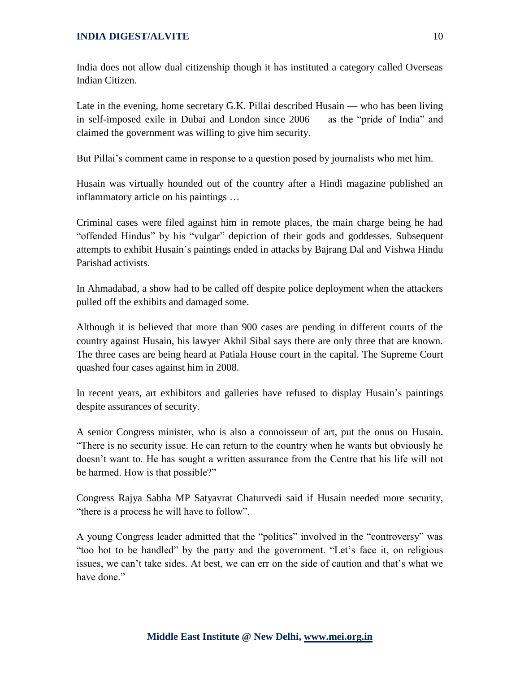India does not allow dual citizenship though it has instituted a category called Overseas Indian Citizen.

Late in the evening, home secretary G.K. Pillai described Husain — who has been living in self-imposed exile in Dubai and London since  $2006$  — as the "pride of India" and claimed the government was willing to give him security.

But Pillai's comment came in response to a question posed by journalists who met him.

Husain was virtually hounded out of the country after a Hindi magazine published an inflammatory article on his paintings …

Criminal cases were filed against him in remote places, the main charge being he had "offended Hindus" by his "vulgar" depiction of their gods and goddesses. Subsequent attempts to exhibit Husain's paintings ended in attacks by Bajrang Dal and Vishwa Hindu Parishad activists.

In Ahmadabad, a show had to be called off despite police deployment when the attackers pulled off the exhibits and damaged some.

Although it is believed that more than 900 cases are pending in different courts of the country against Husain, his lawyer Akhil Sibal says there are only three that are known. The three cases are being heard at Patiala House court in the capital. The Supreme Court quashed four cases against him in 2008.

In recent years, art exhibitors and galleries have refused to display Husain's paintings despite assurances of security.

A senior Congress minister, who is also a connoisseur of art, put the onus on Husain. ―There is no security issue. He can return to the country when he wants but obviously he doesn't want to. He has sought a written assurance from the Centre that his life will not be harmed. How is that possible?"

Congress Rajya Sabha MP Satyavrat Chaturvedi said if Husain needed more security, "there is a process he will have to follow".

A young Congress leader admitted that the "politics" involved in the "controversy" was "too hot to be handled" by the party and the government. "Let's face it, on religious issues, we can't take sides. At best, we can err on the side of caution and that's what we have done"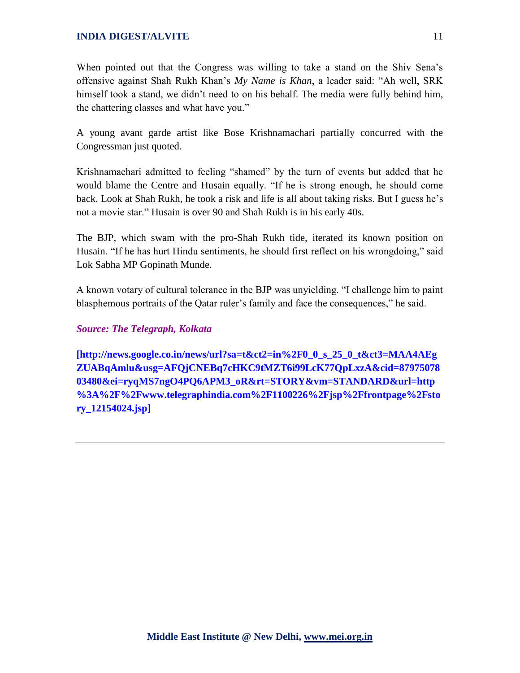When pointed out that the Congress was willing to take a stand on the Shiv Sena's offensive against Shah Rukh Khan's My Name is Khan, a leader said: "Ah well, SRK himself took a stand, we didn't need to on his behalf. The media were fully behind him, the chattering classes and what have you."

A young avant garde artist like Bose Krishnamachari partially concurred with the Congressman just quoted.

Krishnamachari admitted to feeling "shamed" by the turn of events but added that he would blame the Centre and Husain equally. "If he is strong enough, he should come back. Look at Shah Rukh, he took a risk and life is all about taking risks. But I guess he's not a movie star." Husain is over 90 and Shah Rukh is in his early 40s.

The BJP, which swam with the pro-Shah Rukh tide, iterated its known position on Husain. "If he has hurt Hindu sentiments, he should first reflect on his wrongdoing," said Lok Sabha MP Gopinath Munde.

A known votary of cultural tolerance in the BJP was unyielding. "I challenge him to paint blasphemous portraits of the Qatar ruler's family and face the consequences," he said.

### *Source: The Telegraph, Kolkata*

**[http://news.google.co.in/news/url?sa=t&ct2=in%2F0\_0\_s\_25\_0\_t&ct3=MAA4AEg ZUABqAmlu&usg=AFQjCNEBq7cHKC9tMZT6i99LcK77QpLxzA&cid=87975078 03480&ei=ryqMS7ngO4PQ6APM3\_oR&rt=STORY&vm=STANDARD&url=http %3A%2F%2Fwww.telegraphindia.com%2F1100226%2Fjsp%2Ffrontpage%2Fsto ry\_12154024.jsp]**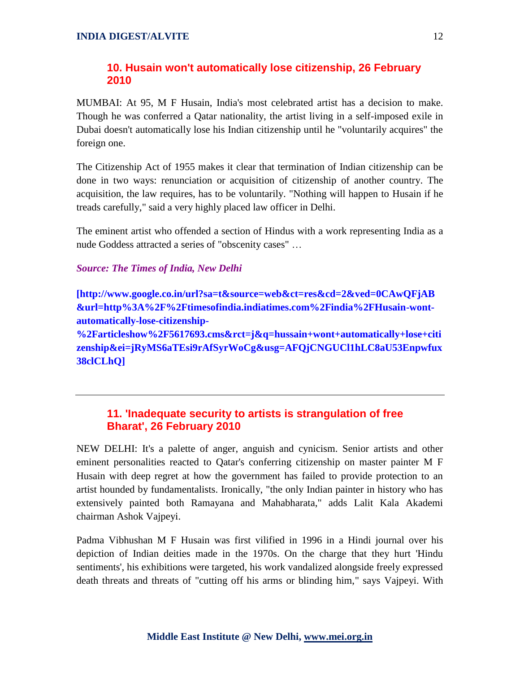# **10. Husain won't automatically lose citizenship, 26 February 2010**

MUMBAI: At 95, M F Husain, India's most celebrated artist has a decision to make. Though he was conferred a Qatar nationality, the artist living in a self-imposed exile in Dubai doesn't automatically lose his Indian citizenship until he "voluntarily acquires" the foreign one.

The Citizenship Act of 1955 makes it clear that termination of Indian citizenship can be done in two ways: renunciation or acquisition of citizenship of another country. The acquisition, the law requires, has to be voluntarily. "Nothing will happen to Husain if he treads carefully," said a very highly placed law officer in Delhi.

The eminent artist who offended a section of Hindus with a work representing India as a nude Goddess attracted a series of "obscenity cases" …

# *Source: The Times of India, New Delhi*

**[http://www.google.co.in/url?sa=t&source=web&ct=res&cd=2&ved=0CAwQFjAB &url=http%3A%2F%2Ftimesofindia.indiatimes.com%2Findia%2FHusain-wontautomatically-lose-citizenship-**

**%2Farticleshow%2F5617693.cms&rct=j&q=hussain+wont+automatically+lose+citi zenship&ei=jRyMS6aTEsi9rAfSyrWoCg&usg=AFQjCNGUCl1hLC8aU53Enpwfux 38clCLhQ]**

# **11. 'Inadequate security to artists is strangulation of free Bharat', 26 February 2010**

NEW DELHI: It's a palette of anger, anguish and cynicism. Senior artists and other eminent personalities reacted to Qatar's conferring citizenship on master painter M F Husain with deep regret at how the government has failed to provide protection to an artist hounded by fundamentalists. Ironically, "the only Indian painter in history who has extensively painted both Ramayana and Mahabharata," adds Lalit Kala Akademi chairman Ashok Vajpeyi.

Padma Vibhushan M F Husain was first vilified in 1996 in a Hindi journal over his depiction of Indian deities made in the 1970s. On the charge that they hurt 'Hindu sentiments', his exhibitions were targeted, his work vandalized alongside freely expressed death threats and threats of "cutting off his arms or blinding him," says Vajpeyi. With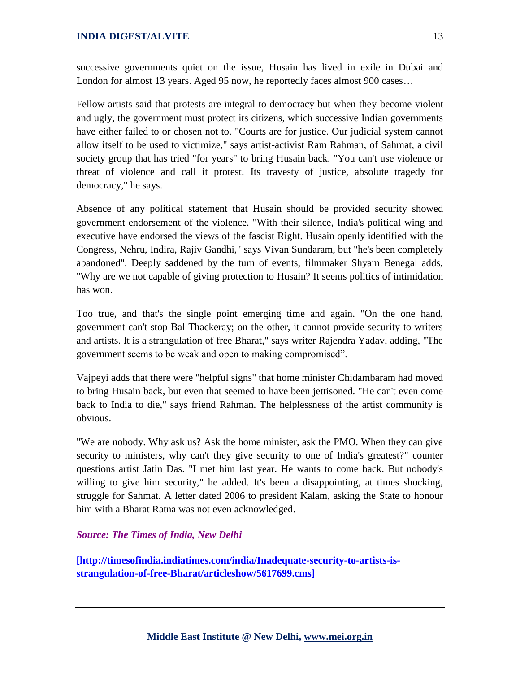successive governments quiet on the issue, Husain has lived in exile in Dubai and London for almost 13 years. Aged 95 now, he reportedly faces almost 900 cases…

Fellow artists said that protests are integral to democracy but when they become violent and ugly, the government must protect its citizens, which successive Indian governments have either failed to or chosen not to. "Courts are for justice. Our judicial system cannot allow itself to be used to victimize," says artist-activist Ram Rahman, of Sahmat, a civil society group that has tried "for years" to bring Husain back. "You can't use violence or threat of violence and call it protest. Its travesty of justice, absolute tragedy for democracy," he says.

Absence of any political statement that Husain should be provided security showed government endorsement of the violence. "With their silence, India's political wing and executive have endorsed the views of the fascist Right. Husain openly identified with the Congress, Nehru, Indira, Rajiv Gandhi," says Vivan Sundaram, but "he's been completely abandoned". Deeply saddened by the turn of events, filmmaker Shyam Benegal adds, "Why are we not capable of giving protection to Husain? It seems politics of intimidation has won.

Too true, and that's the single point emerging time and again. "On the one hand, government can't stop Bal Thackeray; on the other, it cannot provide security to writers and artists. It is a strangulation of free Bharat," says writer Rajendra Yadav, adding, "The government seems to be weak and open to making compromised".

Vajpeyi adds that there were "helpful signs" that home minister Chidambaram had moved to bring Husain back, but even that seemed to have been jettisoned. "He can't even come back to India to die," says friend Rahman. The helplessness of the artist community is obvious.

"We are nobody. Why ask us? Ask the home minister, ask the PMO. When they can give security to ministers, why can't they give security to one of India's greatest?" counter questions artist Jatin Das. "I met him last year. He wants to come back. But nobody's willing to give him security," he added. It's been a disappointing, at times shocking, struggle for Sahmat. A letter dated 2006 to president Kalam, asking the State to honour him with a Bharat Ratna was not even acknowledged.

#### *Source: The Times of India, New Delhi*

**[http://timesofindia.indiatimes.com/india/Inadequate-security-to-artists-isstrangulation-of-free-Bharat/articleshow/5617699.cms]**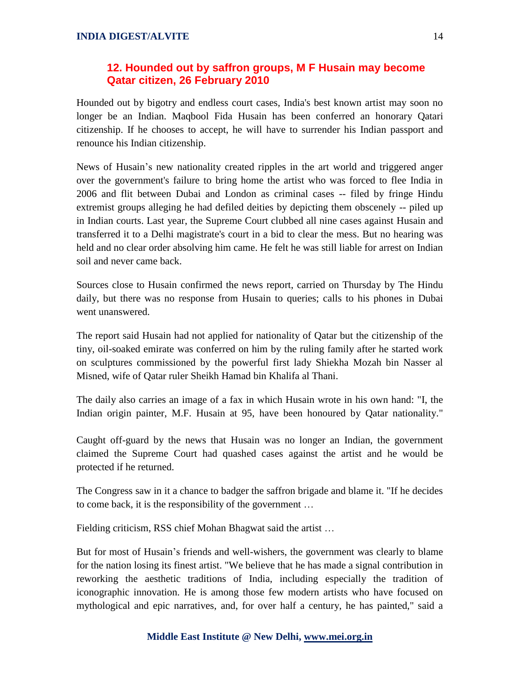# **12. Hounded out by saffron groups, M F Husain may become Qatar citizen, 26 February 2010**

Hounded out by bigotry and endless court cases, India's best known artist may soon no longer be an Indian. Maqbool Fida Husain has been conferred an honorary Qatari citizenship. If he chooses to accept, he will have to surrender his Indian passport and renounce his Indian citizenship.

News of Husain's new nationality created ripples in the art world and triggered anger over the government's failure to bring home the artist who was forced to flee India in 2006 and flit between Dubai and London as criminal cases -- filed by fringe Hindu extremist groups alleging he had defiled deities by depicting them obscenely -- piled up in Indian courts. Last year, the Supreme Court clubbed all nine cases against Husain and transferred it to a Delhi magistrate's court in a bid to clear the mess. But no hearing was held and no clear order absolving him came. He felt he was still liable for arrest on Indian soil and never came back.

Sources close to Husain confirmed the news report, carried on Thursday by The Hindu daily, but there was no response from Husain to queries; calls to his phones in Dubai went unanswered.

The report said Husain had not applied for nationality of Qatar but the citizenship of the tiny, oil-soaked emirate was conferred on him by the ruling family after he started work on sculptures commissioned by the powerful first lady Shiekha Mozah bin Nasser al Misned, wife of Qatar ruler Sheikh Hamad bin Khalifa al Thani.

The daily also carries an image of a fax in which Husain wrote in his own hand: "I, the Indian origin painter, M.F. Husain at 95, have been honoured by Qatar nationality."

Caught off-guard by the news that Husain was no longer an Indian, the government claimed the Supreme Court had quashed cases against the artist and he would be protected if he returned.

The Congress saw in it a chance to badger the saffron brigade and blame it. "If he decides to come back, it is the responsibility of the government …

Fielding criticism, RSS chief Mohan Bhagwat said the artist …

But for most of Husain's friends and well-wishers, the government was clearly to blame for the nation losing its finest artist. "We believe that he has made a signal contribution in reworking the aesthetic traditions of India, including especially the tradition of iconographic innovation. He is among those few modern artists who have focused on mythological and epic narratives, and, for over half a century, he has painted," said a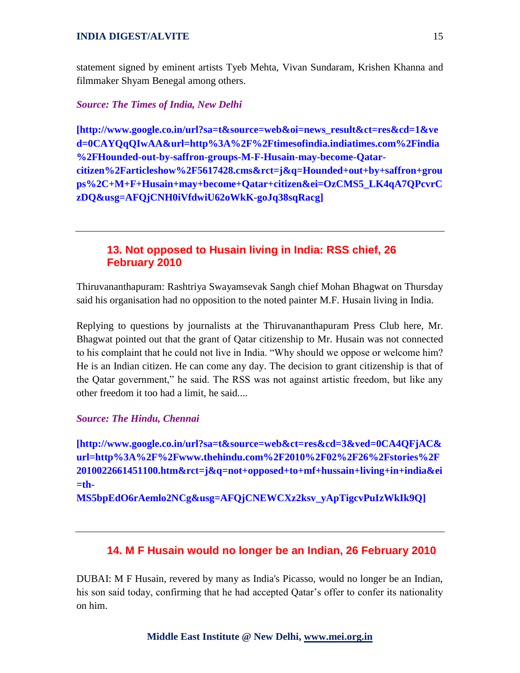statement signed by eminent artists Tyeb Mehta, Vivan Sundaram, Krishen Khanna and filmmaker Shyam Benegal among others.

#### *Source: The Times of India, New Delhi*

**[http://www.google.co.in/url?sa=t&source=web&oi=news\_result&ct=res&cd=1&ve d=0CAYQqQIwAA&url=http%3A%2F%2Ftimesofindia.indiatimes.com%2Findia %2FHounded-out-by-saffron-groups-M-F-Husain-may-become-Qatarcitizen%2Farticleshow%2F5617428.cms&rct=j&q=Hounded+out+by+saffron+grou ps%2C+M+F+Husain+may+become+Qatar+citizen&ei=OzCMS5\_LK4qA7QPcvrC zDQ&usg=AFQjCNH0iVfdwiU62oWkK-goJq38sqRacg]**

# **13. Not opposed to Husain living in India: RSS chief, 26 February 2010**

Thiruvananthapuram: Rashtriya Swayamsevak Sangh chief Mohan Bhagwat on Thursday said his organisation had no opposition to the noted painter M.F. Husain living in India.

Replying to questions by journalists at the Thiruvananthapuram Press Club here, Mr. Bhagwat pointed out that the grant of Qatar citizenship to Mr. Husain was not connected to his complaint that he could not live in India. "Why should we oppose or welcome him? He is an Indian citizen. He can come any day. The decision to grant citizenship is that of the Qatar government," he said. The RSS was not against artistic freedom, but like any other freedom it too had a limit, he said....

#### *Source: The Hindu, Chennai*

**[http://www.google.co.in/url?sa=t&source=web&ct=res&cd=3&ved=0CA4QFjAC& url=http%3A%2F%2Fwww.thehindu.com%2F2010%2F02%2F26%2Fstories%2F 2010022661451100.htm&rct=j&q=not+opposed+to+mf+hussain+living+in+india&ei =th-**

**MS5bpEdO6rAemlo2NCg&usg=AFQjCNEWCXz2ksv\_yApTigcvPuIzWkIk9Q]**

### **14. M F Husain would no longer be an Indian, 26 February 2010**

DUBAI: M F Husain, revered by many as India's Picasso, would no longer be an Indian, his son said today, confirming that he had accepted Qatar's offer to confer its nationality on him.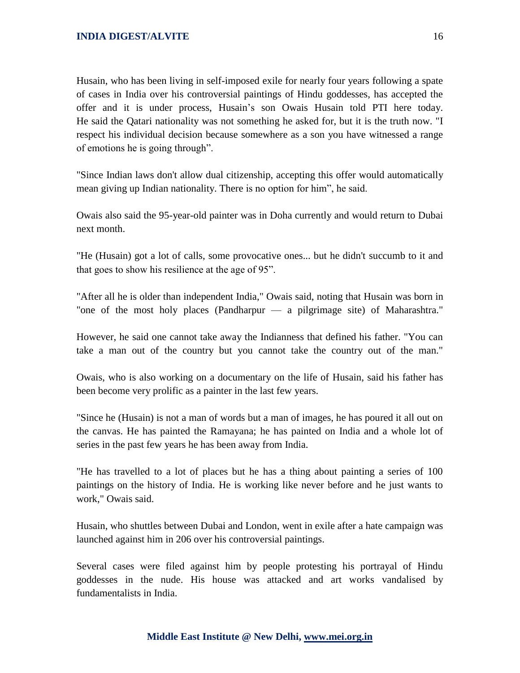Husain, who has been living in self-imposed exile for nearly four years following a spate of cases in India over his controversial paintings of Hindu goddesses, has accepted the offer and it is under process, Husain's son Owais Husain told PTI here today. He said the Qatari nationality was not something he asked for, but it is the truth now. "I respect his individual decision because somewhere as a son you have witnessed a range of emotions he is going through".

"Since Indian laws don't allow dual citizenship, accepting this offer would automatically mean giving up Indian nationality. There is no option for him", he said.

Owais also said the 95-year-old painter was in Doha currently and would return to Dubai next month.

"He (Husain) got a lot of calls, some provocative ones... but he didn't succumb to it and that goes to show his resilience at the age of 95".

"After all he is older than independent India," Owais said, noting that Husain was born in "one of the most holy places (Pandharpur — a pilgrimage site) of Maharashtra."

However, he said one cannot take away the Indianness that defined his father. "You can take a man out of the country but you cannot take the country out of the man."

Owais, who is also working on a documentary on the life of Husain, said his father has been become very prolific as a painter in the last few years.

"Since he (Husain) is not a man of words but a man of images, he has poured it all out on the canvas. He has painted the Ramayana; he has painted on India and a whole lot of series in the past few years he has been away from India.

"He has travelled to a lot of places but he has a thing about painting a series of 100 paintings on the history of India. He is working like never before and he just wants to work," Owais said.

Husain, who shuttles between Dubai and London, went in exile after a hate campaign was launched against him in 206 over his controversial paintings.

Several cases were filed against him by people protesting his portrayal of Hindu goddesses in the nude. His house was attacked and art works vandalised by fundamentalists in India.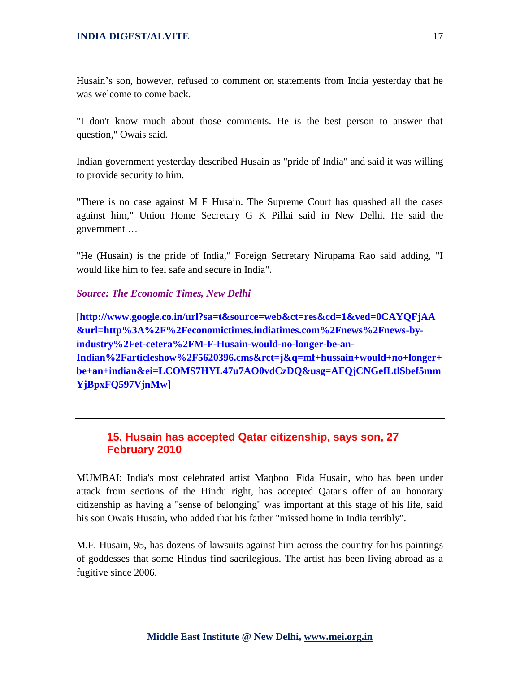Husain's son, however, refused to comment on statements from India yesterday that he was welcome to come back.

"I don't know much about those comments. He is the best person to answer that question," Owais said.

Indian government yesterday described Husain as "pride of India" and said it was willing to provide security to him.

"There is no case against M F Husain. The Supreme Court has quashed all the cases against him," Union Home Secretary G K Pillai said in New Delhi. He said the government …

"He (Husain) is the pride of India," Foreign Secretary Nirupama Rao said adding, "I would like him to feel safe and secure in India".

#### *Source: The Economic Times, New Delhi*

**[http://www.google.co.in/url?sa=t&source=web&ct=res&cd=1&ved=0CAYQFjAA &url=http%3A%2F%2Feconomictimes.indiatimes.com%2Fnews%2Fnews-byindustry%2Fet-cetera%2FM-F-Husain-would-no-longer-be-an-Indian%2Farticleshow%2F5620396.cms&rct=j&q=mf+hussain+would+no+longer+ be+an+indian&ei=LCOMS7HYL47u7AO0vdCzDQ&usg=AFQjCNGefLtlSbef5mm YjBpxFQ597VjnMw]**

# **15. Husain has accepted Qatar citizenship, says son, 27 February 2010**

MUMBAI: India's most celebrated artist Maqbool Fida Husain, who has been under attack from sections of the Hindu right, has accepted Qatar's offer of an honorary citizenship as having a "sense of belonging" was important at this stage of his life, said his son Owais Husain, who added that his father "missed home in India terribly".

M.F. Husain, 95, has dozens of lawsuits against him across the country for his paintings of goddesses that some Hindus find sacrilegious. The artist has been living abroad as a fugitive since 2006.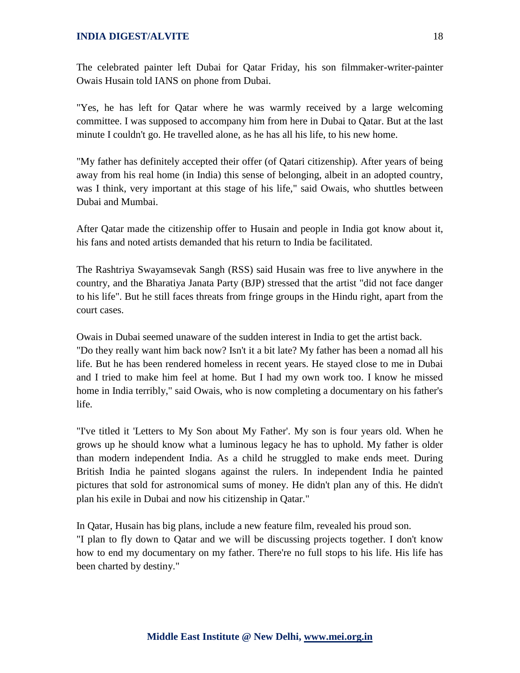The celebrated painter left Dubai for Qatar Friday, his son filmmaker-writer-painter Owais Husain told IANS on phone from Dubai.

"Yes, he has left for Qatar where he was warmly received by a large welcoming committee. I was supposed to accompany him from here in Dubai to Qatar. But at the last minute I couldn't go. He travelled alone, as he has all his life, to his new home.

"My father has definitely accepted their offer (of Qatari citizenship). After years of being away from his real home (in India) this sense of belonging, albeit in an adopted country, was I think, very important at this stage of his life," said Owais, who shuttles between Dubai and Mumbai.

After Qatar made the citizenship offer to Husain and people in India got know about it, his fans and noted artists demanded that his return to India be facilitated.

The Rashtriya Swayamsevak Sangh (RSS) said Husain was free to live anywhere in the country, and the Bharatiya Janata Party (BJP) stressed that the artist "did not face danger to his life". But he still faces threats from fringe groups in the Hindu right, apart from the court cases.

Owais in Dubai seemed unaware of the sudden interest in India to get the artist back. "Do they really want him back now? Isn't it a bit late? My father has been a nomad all his life. But he has been rendered homeless in recent years. He stayed close to me in Dubai and I tried to make him feel at home. But I had my own work too. I know he missed home in India terribly," said Owais, who is now completing a documentary on his father's life.

"I've titled it 'Letters to My Son about My Father'. My son is four years old. When he grows up he should know what a luminous legacy he has to uphold. My father is older than modern independent India. As a child he struggled to make ends meet. During British India he painted slogans against the rulers. In independent India he painted pictures that sold for astronomical sums of money. He didn't plan any of this. He didn't plan his exile in Dubai and now his citizenship in Qatar."

In Qatar, Husain has big plans, include a new feature film, revealed his proud son. "I plan to fly down to Qatar and we will be discussing projects together. I don't know how to end my documentary on my father. There're no full stops to his life. His life has been charted by destiny."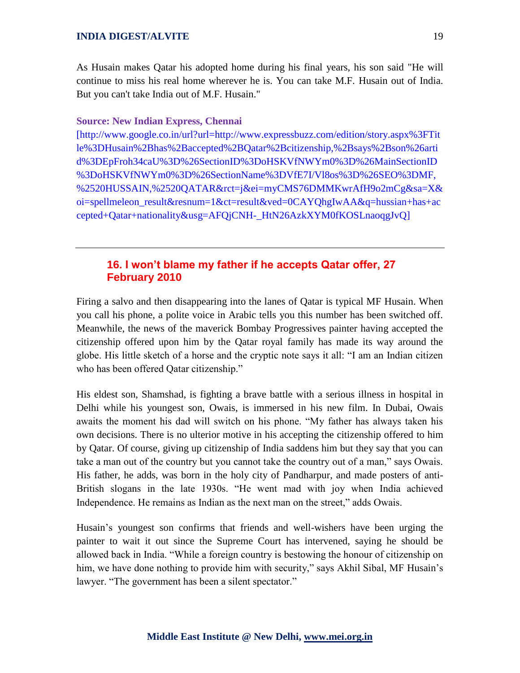As Husain makes Qatar his adopted home during his final years, his son said "He will continue to miss his real home wherever he is. You can take M.F. Husain out of India. But you can't take India out of M.F. Husain."

#### **Source: New Indian Express, Chennai**

[http://www.google.co.in/url?url=http://www.expressbuzz.com/edition/story.aspx%3FTit le%3DHusain%2Bhas%2Baccepted%2BQatar%2Bcitizenship,%2Bsays%2Bson%26arti d%3DEpFroh34caU%3D%26SectionID%3DoHSKVfNWYm0%3D%26MainSectionID %3DoHSKVfNWYm0%3D%26SectionName%3DVfE7I/Vl8os%3D%26SEO%3DMF, %2520HUSSAIN,%2520QATAR&rct=j&ei=myCMS76DMMKwrAfH9o2mCg&sa=X& oi=spellmeleon\_result&resnum=1&ct=result&ved=0CAYQhgIwAA&q=hussian+has+ac cepted+Qatar+nationality&usg=AFQjCNH-\_HtN26AzkXYM0fKOSLnaoqgJvQ]

# **16. I won't blame my father if he accepts Qatar offer, 27 February 2010**

Firing a salvo and then disappearing into the lanes of Qatar is typical MF Husain. When you call his phone, a polite voice in Arabic tells you this number has been switched off. Meanwhile, the news of the maverick Bombay Progressives painter having accepted the citizenship offered upon him by the Qatar royal family has made its way around the globe. His little sketch of a horse and the cryptic note says it all: "I am an Indian citizen who has been offered Qatar citizenship."

His eldest son, Shamshad, is fighting a brave battle with a serious illness in hospital in Delhi while his youngest son, Owais, is immersed in his new film. In Dubai, Owais awaits the moment his dad will switch on his phone. "My father has always taken his own decisions. There is no ulterior motive in his accepting the citizenship offered to him by Qatar. Of course, giving up citizenship of India saddens him but they say that you can take a man out of the country but you cannot take the country out of a man," says Owais. His father, he adds, was born in the holy city of Pandharpur, and made posters of anti-British slogans in the late 1930s. "He went mad with joy when India achieved Independence. He remains as Indian as the next man on the street," adds Owais.

Husain's youngest son confirms that friends and well-wishers have been urging the painter to wait it out since the Supreme Court has intervened, saying he should be allowed back in India. "While a foreign country is bestowing the honour of citizenship on him, we have done nothing to provide him with security," says Akhil Sibal, MF Husain's lawyer. "The government has been a silent spectator."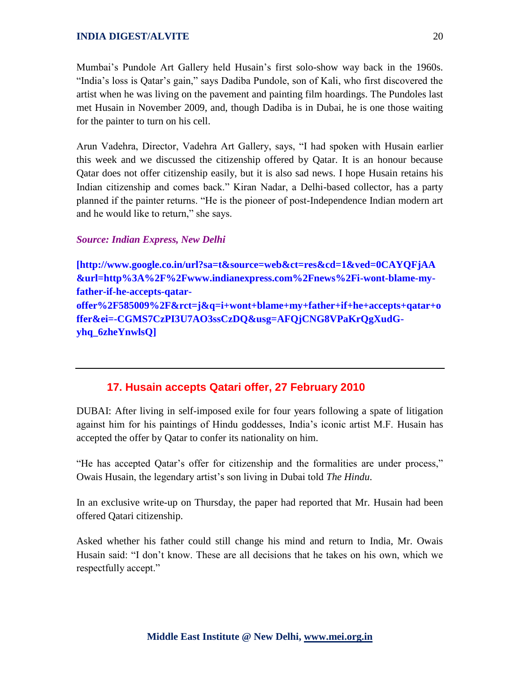Mumbai's Pundole Art Gallery held Husain's first solo-show way back in the 1960s. "India's loss is Qatar's gain," says Dadiba Pundole, son of Kali, who first discovered the artist when he was living on the pavement and painting film hoardings. The Pundoles last met Husain in November 2009, and, though Dadiba is in Dubai, he is one those waiting for the painter to turn on his cell.

Arun Vadehra, Director, Vadehra Art Gallery, says, "I had spoken with Husain earlier this week and we discussed the citizenship offered by Qatar. It is an honour because Qatar does not offer citizenship easily, but it is also sad news. I hope Husain retains his Indian citizenship and comes back." Kiran Nadar, a Delhi-based collector, has a party planned if the painter returns. "He is the pioneer of post-Independence Indian modern art and he would like to return," she says.

### *Source: Indian Express, New Delhi*

**[http://www.google.co.in/url?sa=t&source=web&ct=res&cd=1&ved=0CAYQFjAA &url=http%3A%2F%2Fwww.indianexpress.com%2Fnews%2Fi-wont-blame-myfather-if-he-accepts-qataroffer%2F585009%2F&rct=j&q=i+wont+blame+my+father+if+he+accepts+qatar+o ffer&ei=-CGMS7CzPI3U7AO3ssCzDQ&usg=AFQjCNG8VPaKrQgXudGyhq\_6zheYnwlsQ]**

# **17. Husain accepts Qatari offer, 27 February 2010**

DUBAI: After living in self-imposed exile for four years following a spate of litigation against him for his paintings of Hindu goddesses, India's iconic artist M.F. Husain has accepted the offer by Qatar to confer its nationality on him.

"He has accepted Qatar's offer for citizenship and the formalities are under process," Owais Husain, the legendary artist's son living in Dubai told *The Hindu*.

In an exclusive write-up on Thursday, the paper had reported that Mr. Husain had been offered Qatari citizenship.

Asked whether his father could still change his mind and return to India, Mr. Owais Husain said: "I don't know. These are all decisions that he takes on his own, which we respectfully accept."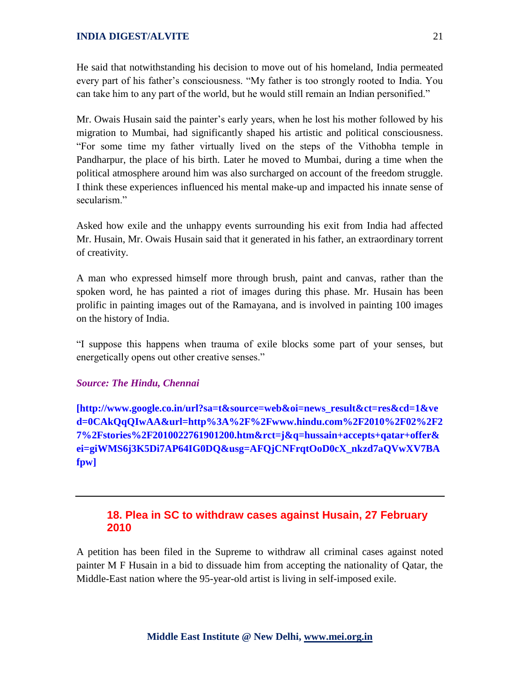He said that notwithstanding his decision to move out of his homeland, India permeated every part of his father's consciousness. "My father is too strongly rooted to India. You can take him to any part of the world, but he would still remain an Indian personified."

Mr. Owais Husain said the painter's early years, when he lost his mother followed by his migration to Mumbai, had significantly shaped his artistic and political consciousness. ―For some time my father virtually lived on the steps of the Vithobha temple in Pandharpur, the place of his birth. Later he moved to Mumbai, during a time when the political atmosphere around him was also surcharged on account of the freedom struggle. I think these experiences influenced his mental make-up and impacted his innate sense of secularism"

Asked how exile and the unhappy events surrounding his exit from India had affected Mr. Husain, Mr. Owais Husain said that it generated in his father, an extraordinary torrent of creativity.

A man who expressed himself more through brush, paint and canvas, rather than the spoken word, he has painted a riot of images during this phase. Mr. Husain has been prolific in painting images out of the Ramayana, and is involved in painting 100 images on the history of India.

―I suppose this happens when trauma of exile blocks some part of your senses, but energetically opens out other creative senses."

#### *Source: The Hindu, Chennai*

**[http://www.google.co.in/url?sa=t&source=web&oi=news\_result&ct=res&cd=1&ve d=0CAkQqQIwAA&url=http%3A%2F%2Fwww.hindu.com%2F2010%2F02%2F2 7%2Fstories%2F2010022761901200.htm&rct=j&q=hussain+accepts+qatar+offer& ei=giWMS6j3K5Di7AP64IG0DQ&usg=AFQjCNFrqtOoD0cX\_nkzd7aQVwXV7BA fpw]**

# **18. Plea in SC to withdraw cases against Husain, 27 February 2010**

A petition has been filed in the Supreme to withdraw all criminal cases against noted painter M F Husain in a bid to dissuade him from accepting the nationality of Qatar, the Middle-East nation where the 95-year-old artist is living in self-imposed exile.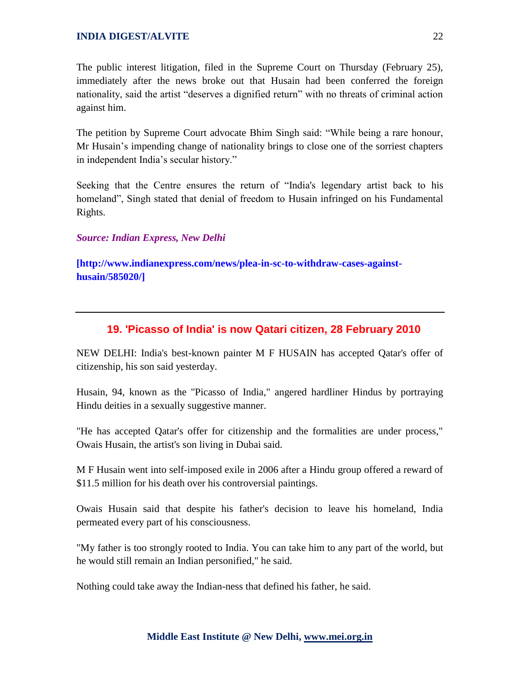The public interest litigation, filed in the Supreme Court on Thursday (February 25), immediately after the news broke out that Husain had been conferred the foreign nationality, said the artist "deserves a dignified return" with no threats of criminal action against him.

The petition by Supreme Court advocate Bhim Singh said: "While being a rare honour, Mr Husain's impending change of nationality brings to close one of the sorriest chapters in independent India's secular history."

Seeking that the Centre ensures the return of "India's legendary artist back to his homeland", Singh stated that denial of freedom to Husain infringed on his Fundamental Rights.

*Source: Indian Express, New Delhi*

**[http://www.indianexpress.com/news/plea-in-sc-to-withdraw-cases-againsthusain/585020/]**

# **19. 'Picasso of India' is now Qatari citizen, 28 February 2010**

NEW DELHI: India's best-known painter M F HUSAIN has accepted Qatar's offer of citizenship, his son said yesterday.

Husain, 94, known as the "Picasso of India," angered hardliner Hindus by portraying Hindu deities in a sexually suggestive manner.

"He has accepted Qatar's offer for citizenship and the formalities are under process," Owais Husain, the artist's son living in Dubai said.

M F Husain went into self-imposed exile in 2006 after a Hindu group offered a reward of \$11.5 million for his death over his controversial paintings.

Owais Husain said that despite his father's decision to leave his homeland, India permeated every part of his consciousness.

"My father is too strongly rooted to India. You can take him to any part of the world, but he would still remain an Indian personified," he said.

Nothing could take away the Indian-ness that defined his father, he said.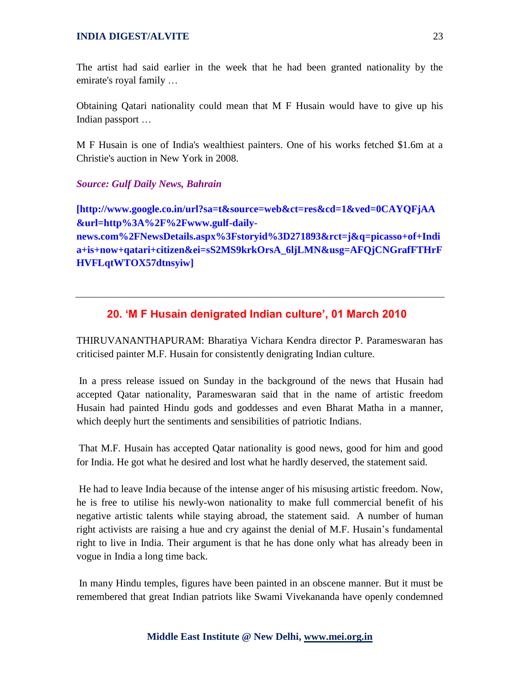The artist had said earlier in the week that he had been granted nationality by the emirate's royal family …

Obtaining Qatari nationality could mean that M F Husain would have to give up his Indian passport …

M F Husain is one of India's wealthiest painters. One of his works fetched \$1.6m at a Christie's auction in New York in 2008.

#### *Source: Gulf Daily News, Bahrain*

**[http://www.google.co.in/url?sa=t&source=web&ct=res&cd=1&ved=0CAYQFjAA &url=http%3A%2F%2Fwww.gulf-dailynews.com%2FNewsDetails.aspx%3Fstoryid%3D271893&rct=j&q=picasso+of+Indi a+is+now+qatari+citizen&ei=sS2MS9krkOrsA\_6ljLMN&usg=AFQjCNGrafFTHrF HVFLqtWTOX57dtnsyiw]**

# **20. 'M F Husain denigrated Indian culture', 01 March 2010**

THIRUVANANTHAPURAM: Bharatiya Vichara Kendra director P. Parameswaran has criticised painter M.F. Husain for consistently denigrating Indian culture.

In a press release issued on Sunday in the background of the news that Husain had accepted Qatar nationality, Parameswaran said that in the name of artistic freedom Husain had painted Hindu gods and goddesses and even Bharat Matha in a manner, which deeply hurt the sentiments and sensibilities of patriotic Indians.

That M.F. Husain has accepted Qatar nationality is good news, good for him and good for India. He got what he desired and lost what he hardly deserved, the statement said.

He had to leave India because of the intense anger of his misusing artistic freedom. Now, he is free to utilise his newly-won nationality to make full commercial benefit of his negative artistic talents while staying abroad, the statement said. A number of human right activists are raising a hue and cry against the denial of M.F. Husain's fundamental right to live in India. Their argument is that he has done only what has already been in vogue in India a long time back.

In many Hindu temples, figures have been painted in an obscene manner. But it must be remembered that great Indian patriots like Swami Vivekananda have openly condemned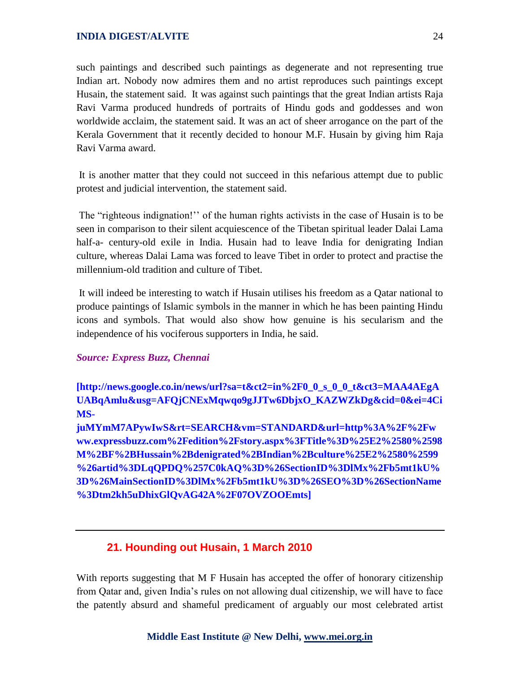such paintings and described such paintings as degenerate and not representing true Indian art. Nobody now admires them and no artist reproduces such paintings except Husain, the statement said. It was against such paintings that the great Indian artists Raja Ravi Varma produced hundreds of portraits of Hindu gods and goddesses and won worldwide acclaim, the statement said. It was an act of sheer arrogance on the part of the Kerala Government that it recently decided to honour M.F. Husain by giving him Raja Ravi Varma award.

It is another matter that they could not succeed in this nefarious attempt due to public protest and judicial intervention, the statement said.

The "righteous indignation!" of the human rights activists in the case of Husain is to be seen in comparison to their silent acquiescence of the Tibetan spiritual leader Dalai Lama half-a- century-old exile in India. Husain had to leave India for denigrating Indian culture, whereas Dalai Lama was forced to leave Tibet in order to protect and practise the millennium-old tradition and culture of Tibet.

It will indeed be interesting to watch if Husain utilises his freedom as a Qatar national to produce paintings of Islamic symbols in the manner in which he has been painting Hindu icons and symbols. That would also show how genuine is his secularism and the independence of his vociferous supporters in India, he said.

#### *Source: Express Buzz, Chennai*

**[http://news.google.co.in/news/url?sa=t&ct2=in%2F0\_0\_s\_0\_0\_t&ct3=MAA4AEgA UABqAmlu&usg=AFQjCNExMqwqo9gJJTw6DbjxO\_KAZWZkDg&cid=0&ei=4Ci MS-**

**juMYmM7APywIwS&rt=SEARCH&vm=STANDARD&url=http%3A%2F%2Fw ww.expressbuzz.com%2Fedition%2Fstory.aspx%3FTitle%3D%25E2%2580%2598 M%2BF%2BHussain%2Bdenigrated%2BIndian%2Bculture%25E2%2580%2599 %26artid%3DLqQPDQ%257C0kAQ%3D%26SectionID%3DlMx%2Fb5mt1kU% 3D%26MainSectionID%3DlMx%2Fb5mt1kU%3D%26SEO%3D%26SectionName %3Dtm2kh5uDhixGlQvAG42A%2F07OVZOOEmts]**

# **21. Hounding out Husain, 1 March 2010**

With reports suggesting that M F Husain has accepted the offer of honorary citizenship from Qatar and, given India's rules on not allowing dual citizenship, we will have to face the patently absurd and shameful predicament of arguably our most celebrated artist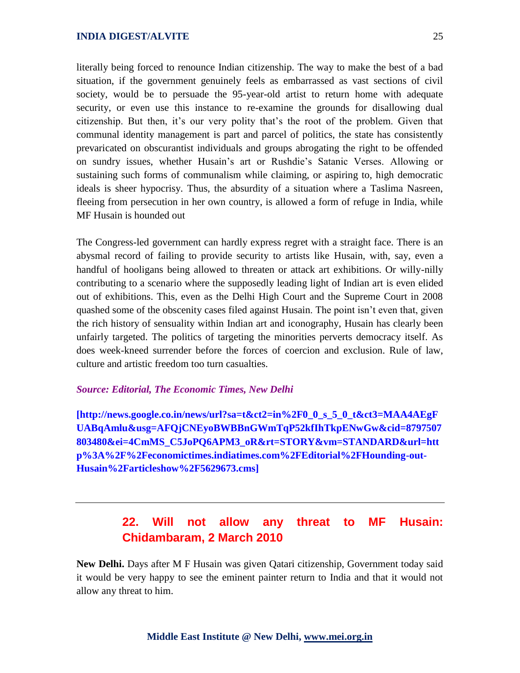literally being forced to renounce Indian citizenship. The way to make the best of a bad situation, if the government genuinely feels as embarrassed as vast sections of civil society, would be to persuade the 95-year-old artist to return home with adequate security, or even use this instance to re-examine the grounds for disallowing dual citizenship. But then, it's our very polity that's the root of the problem. Given that communal identity management is part and parcel of politics, the state has consistently prevaricated on obscurantist individuals and groups abrogating the right to be offended on sundry issues, whether Husain's art or Rushdie's Satanic Verses. Allowing or sustaining such forms of communalism while claiming, or aspiring to, high democratic ideals is sheer hypocrisy. Thus, the absurdity of a situation where a Taslima Nasreen, fleeing from persecution in her own country, is allowed a form of refuge in India, while MF Husain is hounded out

The Congress-led government can hardly express regret with a straight face. There is an abysmal record of failing to provide security to artists like Husain, with, say, even a handful of hooligans being allowed to threaten or attack art exhibitions. Or willy-nilly contributing to a scenario where the supposedly leading light of Indian art is even elided out of exhibitions. This, even as the Delhi High Court and the Supreme Court in 2008 quashed some of the obscenity cases filed against Husain. The point isn't even that, given the rich history of sensuality within Indian art and iconography, Husain has clearly been unfairly targeted. The politics of targeting the minorities perverts democracy itself. As does week-kneed surrender before the forces of coercion and exclusion. Rule of law, culture and artistic freedom too turn casualties.

#### *Source: Editorial, The Economic Times, New Delhi*

**[http://news.google.co.in/news/url?sa=t&ct2=in%2F0\_0\_s\_5\_0\_t&ct3=MAA4AEgF UABqAmlu&usg=AFQjCNEyoBWBBnGWmTqP52kfIhTkpENwGw&cid=8797507 803480&ei=4CmMS\_C5JoPQ6APM3\_oR&rt=STORY&vm=STANDARD&url=htt p%3A%2F%2Feconomictimes.indiatimes.com%2FEditorial%2FHounding-out-Husain%2Farticleshow%2F5629673.cms]**

# **22. Will not allow any threat to MF Husain: Chidambaram, 2 March 2010**

**New Delhi.** Days after M F Husain was given Qatari citizenship, Government today said it would be very happy to see the eminent painter return to India and that it would not allow any threat to him.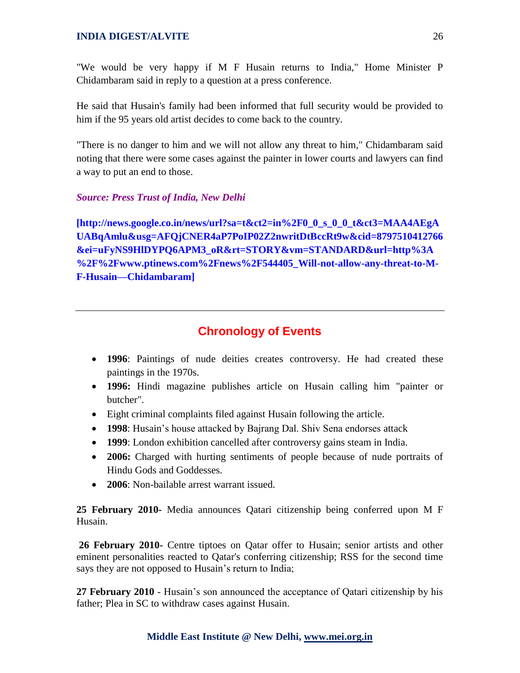"We would be very happy if M F Husain returns to India," Home Minister P Chidambaram said in reply to a question at a press conference.

He said that Husain's family had been informed that full security would be provided to him if the 95 years old artist decides to come back to the country.

"There is no danger to him and we will not allow any threat to him," Chidambaram said noting that there were some cases against the painter in lower courts and lawyers can find a way to put an end to those.

# *Source: Press Trust of India, New Delhi*

**[http://news.google.co.in/news/url?sa=t&ct2=in%2F0\_0\_s\_0\_0\_t&ct3=MAA4AEgA UABqAmlu&usg=AFQjCNER4aP7PoIP02Z2nwritDtBccRt9w&cid=8797510412766 &ei=uFyNS9HlDYPQ6APM3\_oR&rt=STORY&vm=STANDARD&url=http%3A %2F%2Fwww.ptinews.com%2Fnews%2F544405\_Will-not-allow-any-threat-to-M-F-Husain—Chidambaram]**

# **Chronology of Events**

- **1996**: Paintings of nude deities creates controversy. He had created these paintings in the 1970s.
- **1996:** Hindi magazine publishes article on Husain calling him "painter or butcher".
- Eight criminal complaints filed against Husain following the article.
- **1998**: Husain's house attacked by Bajrang Dal. Shiv Sena endorses attack
- **1999**: London exhibition cancelled after controversy gains steam in India.
- **2006:** Charged with hurting sentiments of people because of nude portraits of Hindu Gods and Goddesses.
- **2006**: Non-bailable arrest warrant issued.

**25 February 2010-** Media announces Qatari citizenship being conferred upon M F Husain.

**26 February 2010-** Centre tiptoes on Qatar offer to Husain; senior artists and other eminent personalities reacted to Qatar's conferring citizenship; RSS for the second time says they are not opposed to Husain's return to India;

**27 February 2010** - Husain's son announced the acceptance of Qatari citizenship by his father; Plea in SC to withdraw cases against Husain.